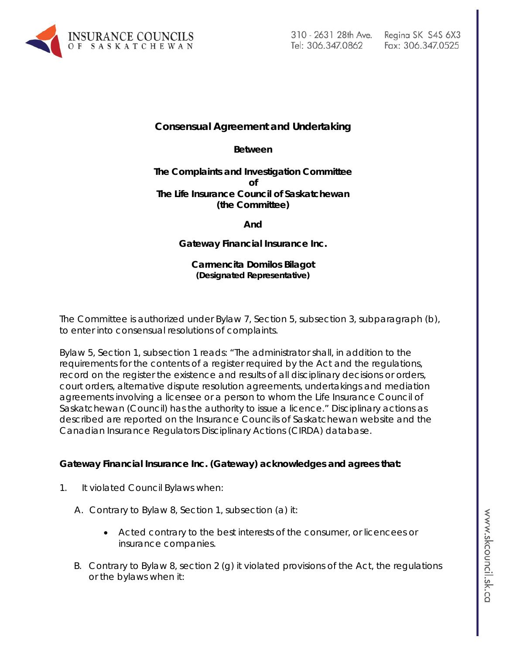

# Fax: 306.347.0525

## **Consensual Agreement and Undertaking**

**Between**

#### **The Complaints and Investigation Committee of The Life Insurance Council of Saskatchewan (the Committee)**

**And**

## **Gateway Financial Insurance Inc.**

#### **Carmencita Domilos Bilagot (Designated Representative)**

The Committee is authorized under Bylaw 7, Section 5, subsection 3, subparagraph (b), to enter into consensual resolutions of complaints.

Bylaw 5, Section 1, subsection 1 reads: "The administrator shall, in addition to the requirements for the contents of a register required by the Act and the regulations, record on the register the existence and results of all disciplinary decisions or orders, court orders, alternative dispute resolution agreements, undertakings and mediation agreements involving a licensee or a person to whom the Life Insurance Council of Saskatchewan (Council) has the authority to issue a licence." Disciplinary actions as described are reported on the Insurance Councils of Saskatchewan website and the Canadian Insurance Regulators Disciplinary Actions (CIRDA) database.

#### **Gateway Financial Insurance Inc. (Gateway) acknowledges and agrees that:**

- 1. It violated Council Bylaws when:
	- A. Contrary to Bylaw 8, Section 1, subsection (a) it:
		- Acted contrary to the best interests of the consumer, or licencees or insurance companies.
	- B. Contrary to Bylaw 8, section 2 (g) it violated provisions of the Act, the regulations or the bylaws when it: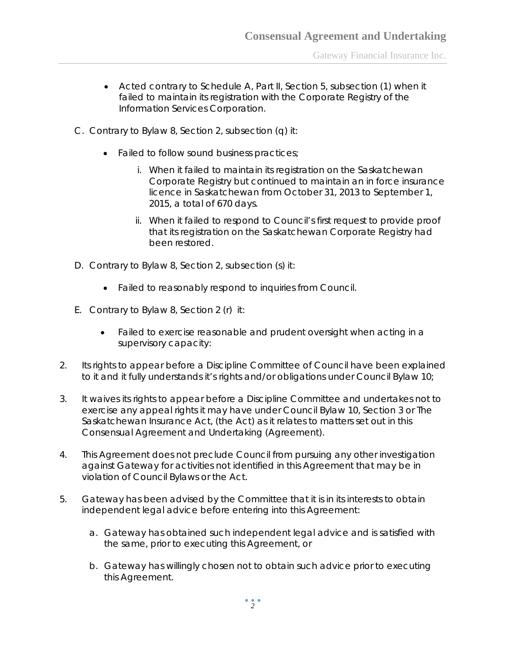- Acted contrary to Schedule A, Part II, Section 5, subsection (1) when it failed to maintain its registration with the Corporate Registry of the Information Services Corporation.
- C. Contrary to Bylaw 8, Section 2, subsection (q) it:
	- Failed to follow sound business practices;
		- i. When it failed to maintain its registration on the Saskatchewan Corporate Registry but continued to maintain an in force insurance licence in Saskatchewan from October 31, 2013 to September 1, 2015, a total of 670 days.
		- ii. When it failed to respond to Council's first request to provide proof that its registration on the Saskatchewan Corporate Registry had been restored.
- D. Contrary to Bylaw 8, Section 2, subsection (s) it:
	- Failed to reasonably respond to inquiries from Council.
- E. Contrary to Bylaw 8, Section 2 (r) it:
	- Failed to exercise reasonable and prudent oversight when acting in a supervisory capacity:
- 2. Its rights to appear before a Discipline Committee of Council have been explained to it and it fully understands it's rights and/or obligations under Council Bylaw 10;
- 3. It waives its rights to appear before a Discipline Committee and undertakes not to exercise any appeal rights it may have under Council Bylaw 10, Section 3 or *The Saskatchewan Insurance Act,* (the Act) as it relates to matters set out in this Consensual Agreement and Undertaking (Agreement).
- 4. This Agreement does not preclude Council from pursuing any other investigation against Gateway for activities not identified in this Agreement that may be in violation of Council Bylaws or the Act.
- 5. Gateway has been advised by the Committee that it is in its interests to obtain independent legal advice before entering into this Agreement:
	- a. Gateway has obtained such independent legal advice and is satisfied with the same, prior to executing this Agreement, or
	- b. Gateway has willingly chosen not to obtain such advice prior to executing this Agreement.